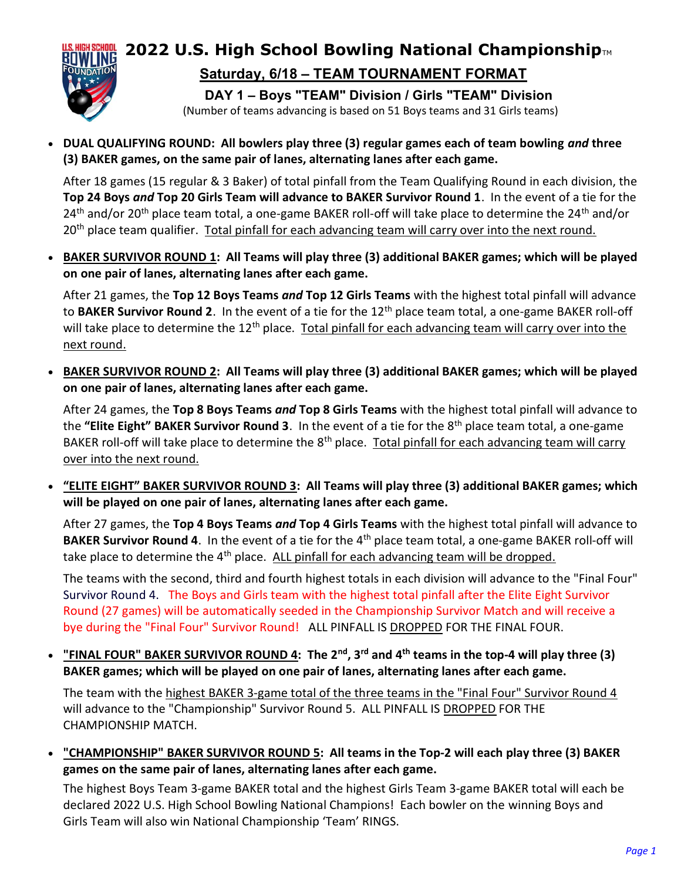

## 2022 U.S. High School Bowling National Championship $_{TM}$ Saturday, 6/18 – TEAM TOURNAMENT FORMAT

DAY 1 – Boys "TEAM" Division / Girls "TEAM" Division

(Number of teams advancing is based on 51 Boys teams and 31 Girls teams)

• DUAL QUALIFYING ROUND: All bowlers play three (3) regular games each of team bowling and three (3) BAKER games, on the same pair of lanes, alternating lanes after each game.

After 18 games (15 regular & 3 Baker) of total pinfall from the Team Qualifying Round in each division, the Top 24 Boys and Top 20 Girls Team will advance to BAKER Survivor Round 1. In the event of a tie for the 24<sup>th</sup> and/or 20<sup>th</sup> place team total, a one-game BAKER roll-off will take place to determine the 24<sup>th</sup> and/or 20<sup>th</sup> place team qualifier. Total pinfall for each advancing team will carry over into the next round.

 BAKER SURVIVOR ROUND 1: All Teams will play three (3) additional BAKER games; which will be played on one pair of lanes, alternating lanes after each game.

After 21 games, the Top 12 Boys Teams and Top 12 Girls Teams with the highest total pinfall will advance to BAKER Survivor Round 2. In the event of a tie for the 12<sup>th</sup> place team total, a one-game BAKER roll-off will take place to determine the 12<sup>th</sup> place. Total pinfall for each advancing team will carry over into the next round.

 BAKER SURVIVOR ROUND 2: All Teams will play three (3) additional BAKER games; which will be played on one pair of lanes, alternating lanes after each game.

After 24 games, the Top 8 Boys Teams and Top 8 Girls Teams with the highest total pinfall will advance to the "Elite Eight" BAKER Survivor Round 3. In the event of a tie for the 8<sup>th</sup> place team total, a one-game BAKER roll-off will take place to determine the  $8<sup>th</sup>$  place. Total pinfall for each advancing team will carry over into the next round.

 "ELITE EIGHT" BAKER SURVIVOR ROUND 3: All Teams will play three (3) additional BAKER games; which will be played on one pair of lanes, alternating lanes after each game.

After 27 games, the Top 4 Boys Teams and Top 4 Girls Teams with the highest total pinfall will advance to BAKER Survivor Round 4. In the event of a tie for the 4<sup>th</sup> place team total, a one-game BAKER roll-off will take place to determine the 4<sup>th</sup> place. ALL pinfall for each advancing team will be dropped.

The teams with the second, third and fourth highest totals in each division will advance to the "Final Four" Survivor Round 4. The Boys and Girls team with the highest total pinfall after the Elite Eight Survivor Round (27 games) will be automatically seeded in the Championship Survivor Match and will receive a bye during the "Final Four" Survivor Round! ALL PINFALL IS DROPPED FOR THE FINAL FOUR.

• "FINAL FOUR" BAKER SURVIVOR ROUND 4: The 2<sup>nd</sup>, 3<sup>rd</sup> and 4<sup>th</sup> teams in the top-4 will play three (3) BAKER games; which will be played on one pair of lanes, alternating lanes after each game.

The team with the highest BAKER 3-game total of the three teams in the "Final Four" Survivor Round 4 will advance to the "Championship" Survivor Round 5. ALL PINFALL IS DROPPED FOR THE CHAMPIONSHIP MATCH.

 "CHAMPIONSHIP" BAKER SURVIVOR ROUND 5: All teams in the Top-2 will each play three (3) BAKER games on the same pair of lanes, alternating lanes after each game.

The highest Boys Team 3-game BAKER total and the highest Girls Team 3-game BAKER total will each be declared 2022 U.S. High School Bowling National Champions! Each bowler on the winning Boys and Girls Team will also win National Championship 'Team' RINGS.